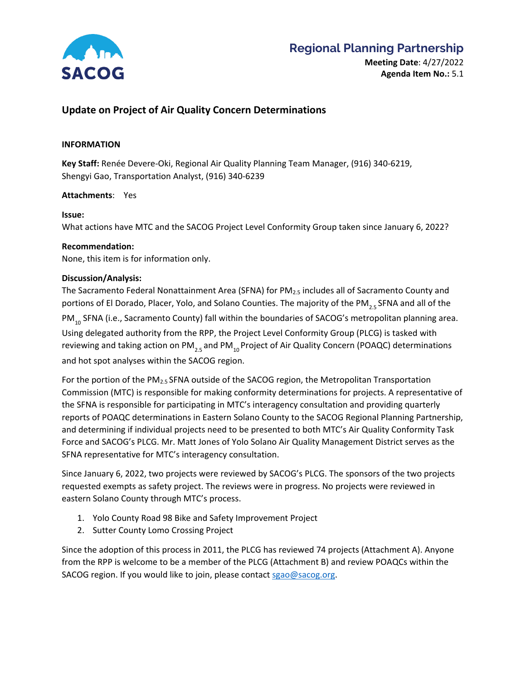

### **Regional Planning Partnership**

#### **Update on Project of Air Quality Concern Determinations**

#### **INFORMATION**

**Key Staff:** Renée Devere-Oki, Regional Air Quality Planning Team Manager, (916) 340-6219, Shengyi Gao, Transportation Analyst, (916) 340-6239

#### **Attachments**: Yes

#### **Issue:**

What actions have MTC and the SACOG Project Level Conformity Group taken since January 6, 2022?

#### **Recommendation:**

None, this item is for information only.

#### **Discussion/Analysis:**

The Sacramento Federal Nonattainment Area (SFNA) for PM<sub>2.5</sub> includes all of Sacramento County and portions of El Dorado, Placer, Yolo, and Solano Counties. The majority of the PM<sub>25</sub> SFNA and all of the PM<sub>10</sub> SFNA (i.e., Sacramento County) fall within the boundaries of SACOG's metropolitan planning area. Using delegated authority from the RPP, the Project Level Conformity Group (PLCG) is tasked with reviewing and taking action on PM<sub>25</sub> and PM<sub>10</sub> Project of Air Quality Concern (POAQC) determinations and hot spot analyses within the SACOG region.

For the portion of the PM<sub>2.5</sub> SFNA outside of the SACOG region, the Metropolitan Transportation Commission (MTC) is responsible for making conformity determinations for projects. A representative of the SFNA is responsible for participating in MTC's interagency consultation and providing quarterly reports of POAQC determinations in Eastern Solano County to the SACOG Regional Planning Partnership, and determining if individual projects need to be presented to both MTC's Air Quality Conformity Task Force and SACOG's PLCG. Mr. Matt Jones of Yolo Solano Air Quality Management District serves as the SFNA representative for MTC's interagency consultation.

Since January 6, 2022, two projects were reviewed by SACOG's PLCG. The sponsors of the two projects requested exempts as safety project. The reviews were in progress. No projects were reviewed in eastern Solano County through MTC's process.

- 1. Yolo County Road 98 Bike and Safety Improvement Project
- 2. Sutter County Lomo Crossing Project

Since the adoption of this process in 2011, the PLCG has reviewed 74 projects (Attachment A). Anyone from the RPP is welcome to be a member of the PLCG (Attachment B) and review POAQCs within the SACOG region. If you would like to join, please contact [sgao@sacog.org.](mailto:sgao@sacog.org)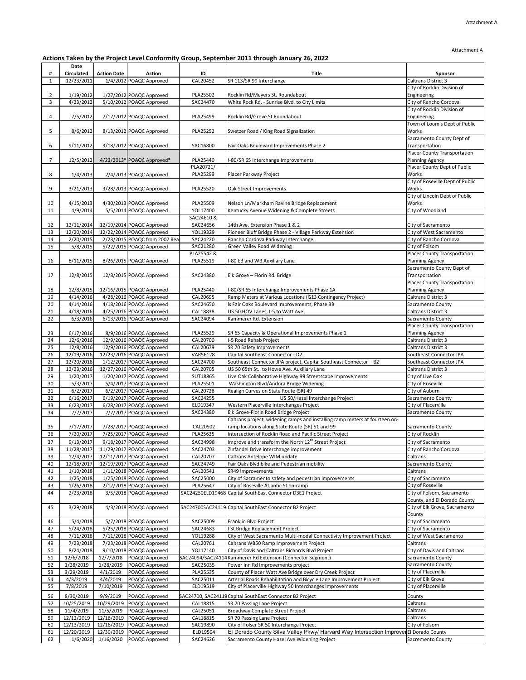## **Actions Taken by the Project Level Conformity Group, September 2011 through January 26, 2022**

| #              | Date<br><b>Circulated</b> | <b>Action Date</b>      | <b>Action</b>                                              | ID                   | <b>Title</b>                                                                                                | <b>Sponsor</b>                                     |
|----------------|---------------------------|-------------------------|------------------------------------------------------------|----------------------|-------------------------------------------------------------------------------------------------------------|----------------------------------------------------|
| $\mathbf{1}$   | 12/23/2011                |                         | 1/4/2012 POAQC Approved                                    | CAL20452             | SR 113/SR 99 Interchange                                                                                    | <b>Caltrans District 3</b>                         |
|                |                           |                         |                                                            |                      |                                                                                                             | City of Rocklin Division of                        |
| $\overline{2}$ | 1/19/2012                 |                         | 1/27/2012 POAQC Approved                                   | PLA25502             | Rocklin Rd/Meyers St. Roundabout                                                                            | Engineering                                        |
| 3              | 4/23/2012                 |                         | 5/10/2012 POAQC Approved                                   | SAC24470             | White Rock Rd. - Sunrise Blvd. to City Limits                                                               | City of Rancho Cordova                             |
|                |                           |                         |                                                            |                      |                                                                                                             | City of Rocklin Division of                        |
| 4              | 7/5/2012                  |                         | 7/17/2012 POAQC Approved                                   | PLA25499             | Rocklin Rd/Grove St Roundabout                                                                              | Engineering<br>Town of Loomis Dept of Public       |
| 5              | 8/6/2012                  |                         | 8/13/2012 POAQC Approved                                   | PLA25252             | Swetzer Road / King Road Signalization                                                                      | Works                                              |
|                |                           |                         |                                                            |                      |                                                                                                             | Sacramento County Dept of                          |
| 6              | 9/11/2012                 |                         | 9/18/2012 POAQC Approved                                   | SAC16800             | Fair Oaks Boulevard Improvements Phase 2                                                                    | Transportation                                     |
|                |                           |                         |                                                            |                      |                                                                                                             | <b>Placer County Transportation</b>                |
| $\overline{7}$ | 12/5/2012                 |                         | 4/23/2013* POAQC Approved*                                 | PLA25440             | I-80/SR 65 Interchange Improvements                                                                         | <b>Planning Agency</b>                             |
|                |                           |                         |                                                            | PLA20721/            |                                                                                                             | Placer County Dept of Public                       |
| 8              | 1/4/2013                  |                         | 2/4/2013 POAQC Approved                                    | PLA25299             | Placer Parkway Project                                                                                      | Works<br>City of Roseville Dept of Public          |
| 9              | 3/21/2013                 |                         | 3/28/2013 POAQC Approved                                   | PLA25520             | Oak Street Improvements                                                                                     | Works                                              |
|                |                           |                         |                                                            |                      |                                                                                                             | City of Lincoln Dept of Public                     |
| 10             | 4/15/2013                 |                         | 4/30/2013 POAQC Approved                                   | PLA25509             | Nelson Ln/Markham Ravine Bridge Replacement                                                                 | Works                                              |
| 11             | 4/9/2014                  |                         | 5/5/2014 POAQC Approved                                    | YOL17400             | Kentucky Avenue Widening & Complete Streets                                                                 | City of Woodland                                   |
|                |                           |                         |                                                            | SAC24610 &           |                                                                                                             |                                                    |
| 12             | 12/11/2014                |                         | 12/19/2014 POAQC Approved                                  | SAC24656             | 14th Ave. Extension Phase 1 & 2                                                                             | City of Sacramento                                 |
| 13<br>14       | 12/20/2014<br>2/20/2015   |                         | 12/22/2014 POAQC Approved<br>2/23/2015 POAQC from 2007 Rea | YOL19329<br>SAC24220 | Pioneer Bluff Bridge Phase 2 - Village Parkway Extension<br>Rancho Cordova Parkway Interchange              | City of West Sacramento<br>City of Rancho Cordova  |
| 15             | 5/8/2015                  |                         | 5/22/2015 POAQC Approved                                   | SAC21280             | <b>Green Valley Road Widening</b>                                                                           | City of Folsom                                     |
|                |                           |                         |                                                            | PLA25542 &           |                                                                                                             | <b>Placer County Transportation</b>                |
| 16             | 8/11/2015                 |                         | 8/26/2015 POAQC Approved                                   | PLA25519             | I-80 EB and WB Auxiliary Lane                                                                               | <b>Planning Agency</b>                             |
|                |                           |                         |                                                            |                      |                                                                                                             | Sacramento County Dept of                          |
| 17             | 12/8/2015                 |                         | 12/8/2015 POAQC Approved                                   | SAC24380             | Elk Grove - Florin Rd. Bridge                                                                               | Transportation                                     |
|                |                           |                         |                                                            |                      |                                                                                                             | <b>Placer County Transportation</b>                |
| 18             | 12/8/2015                 |                         | 12/16/2015 POAQC Approved                                  | PLA25440             | I-80/SR 65 Interchange Improvements Phase 1A                                                                | <b>Planning Agency</b>                             |
| 19<br>20       | 4/14/2016<br>4/14/2016    |                         | 4/28/2016 POAQC Approved<br>4/18/2016 POAQC Approved       | CAL20695<br>SAC24650 | Ramp Meters at Various Locations (G13 Contingency Project)<br>is Fair Oaks Boulevard Improvements, Phase 3B | <b>Caltrans District 3</b><br>Sacramento County    |
| 21             | 4/18/2016                 |                         | 4/25/2016 POAQC Approved                                   | CAL18838             | US 50 HOV Lanes, I-5 to Watt Ave.                                                                           | <b>Caltrans District 3</b>                         |
| 22             | 6/3/2016                  |                         | 6/13/2016 POAQC Approved                                   | SAC24094             | Kammerer Rd. Extension                                                                                      | Sacramento County                                  |
|                |                           |                         |                                                            |                      |                                                                                                             | <b>Placer County Transportation</b>                |
| 23             | 6/17/2016                 |                         | 8/9/2016 POAQC Approved                                    | PLA25529             | SR 65 Capacity & Operational Improvements Phase 1                                                           | <b>Planning Agency</b>                             |
| 24             | 12/6/2016                 |                         | 12/9/2016 POAQC Approved                                   | CAL20700             | I-5 Road Rehab Project                                                                                      | <b>Caltrans District 3</b>                         |
| 25             | 12/8/2016                 |                         | 12/9/2016 POAQC Approved                                   | CAL20679             | SR 70 Safety Improvements                                                                                   | <b>Caltrans District 3</b>                         |
| 26<br>27       | 12/19/2016<br>12/20/2016  |                         | 12/23/2016 POAQC Approved<br>1/12/2017 POAQC Approved      | VAR56128<br>SAC24700 | Capital Southeast Connector - D2<br>Southeast Connector JPA project, Capital Southeast Connector - B2       | Southeast Connector JPA<br>Southeast Connector JPA |
| 28             | 12/23/2016                |                         | 12/27/2016 POAQC Approved                                  | CAL20705             | US 50 65th St to Howe Ave. Auxiliary Lane                                                                   | <b>Caltrans District 3</b>                         |
| 29             | 1/20/2017                 |                         | 1/20/2017 POAQC Approved                                   | SUT18865             | Live Oak Collaborative Highway 99 Streetscape Improvements                                                  | City of Live Oak                                   |
| 30             | 5/3/2017                  |                         | 5/4/2017 POAQC Approved                                    | PLA25501             | Washington Blvd/Andora Bridge Widening                                                                      | City of Roseville                                  |
| 31             | 6/2/2017                  |                         | 6/2/2017 POAQC Approved                                    | CAL20728             | Realign Curves on State Route (SR) 49                                                                       | City of Auburn                                     |
| 32             | 6/16/2017                 |                         | 6/19/2017 POAQC Approved                                   | SAC24255             | US 50/Hazel Interchange Project                                                                             | Sacramento County                                  |
| 33             | 6/23/2017                 |                         | 6/28/2017 POAQC Approved                                   | ELD19347             | Western Placerville Interchanges Project<br>Elk Grove-Florin Road Bridge Project                            | City of Placerville                                |
| 34             | 7/7/2017                  |                         | 7/7/2017 POAQC Approved                                    | SAC24380             | Caltrans project, widening ramps and installing ramp meters at fourteen on-                                 | Sacramento County                                  |
| 35             | 7/17/2017                 |                         | 7/28/2017 POAQC Approved                                   | CAL20502             | ramp locations along State Route (SR) 51 and 99                                                             | Sacramento County                                  |
| 36             | 7/20/2017                 |                         | 7/25/2017 POAQC Approved                                   | PLA25635             | Intersection of Rocklin Road and Pacific Street Project                                                     | City of Rocklin                                    |
| 37             | 9/13/2017                 |                         | 9/18/2017 POAQC Approved                                   | SAC24998             | Improve and transform the North 12 <sup>th</sup> Street Project                                             | City of Sacramento                                 |
| 38             | 11/28/2017                |                         | 11/29/2017 POAQC Approved                                  | SAC24703             | Zinfandel Drive interchange improvement                                                                     | City of Rancho Cordova                             |
| 39             | 12/4/2017                 |                         | 12/11/2017 POAQC Approved                                  | CAL20707             | Caltrans Antelope WIM update                                                                                | Caltrans                                           |
| 40             | 12/18/2017                |                         | 12/19/2017 POAQC Approved                                  | SAC24749             | Fair Oaks Blvd bike and Pedestrian mobility                                                                 | Sacramento County                                  |
| 41<br>42       | 1/10/2018<br>1/25/2018    |                         | 1/11/2018 POAQC Approved<br>1/25/2018 POAQC Approved       | CAL20541<br>SAC25000 | SR49 Improvements<br>City of Sacramento safety and pedestrian improvements                                  | Caltrans<br>City of Sacramento                     |
| 43             | 1/26/2018                 |                         | 2/12/2018 POAQC Approved                                   | PLA25647             | City of Roseville Atlantic St on-ramp                                                                       | City of Roseville                                  |
| 44             | 2/23/2018                 |                         | 3/5/2018 POAQC Approved                                    |                      | SAC24250ELD19468 Capital SouthEast Connector D3E1 Project                                                   | City of Folsom, Sacramento                         |
|                |                           |                         |                                                            |                      |                                                                                                             | County, and El Dorado County                       |
| 45             | 3/29/2018                 |                         | 4/3/2018 POAQC Approved                                    |                      | SAC24700SAC24119 Capital SouthEast Connector B2 Project                                                     | City of Elk Grove, Sacramento                      |
|                |                           |                         |                                                            |                      |                                                                                                             | County                                             |
| 46             | 5/4/2018                  |                         | 5/7/2018 POAQC Approved                                    | SAC25009             | Franklin Blvd Project                                                                                       | City of Sacramento                                 |
| 47<br>48       | 5/24/2018<br>7/11/2018    |                         | 5/25/2018 POAQC Approved<br>7/11/2018 POAQC Approved       | SAC24683<br>YOL19288 | I St Bridge Replacement Project<br>City of West Sacramento Multi-modal Connectivity Improvement Project     | City of Sacramento<br>City of West Sacramento      |
| 49             | 7/23/2018                 |                         | 7/23/2018 POAQC Approved                                   | CAL20761             | Caltrans WB50 Ramp Improvement Project                                                                      | Caltrans                                           |
| 50             | 8/24/2018                 |                         | 9/10/2018 POAQC Approved                                   | YOL17140             | City of Davis and Caltrans Richards Blvd Project                                                            | City of Davis and Caltrans                         |
| 51             | 12/6/2018                 | 12/7/2018               | POAQC Approved                                             |                      | SAC24094/SAC24114 Kammerer Rd Extension (Connector Segment)                                                 | <b>Sacramento County</b>                           |
| 52             | 1/28/2019                 | 1/28/2019               | POAQC Approved                                             | SAC25035             | Power Inn Rd Improvements project                                                                           | Sacramento County                                  |
| 53             | 3/29/2019                 | 4/1/2019                | POAQC Approved                                             | PLA25535             | County of Placer Watt Ave Bridge over Dry Creek Project                                                     | City of Placerville                                |
| 54             | 4/3/2019                  | 4/4/2019                | POAQC Approved                                             | SAC25011             | Arterial Roads Rehabilitation and Bicycle Lane Improvement Project                                          | City of Elk Grove                                  |
| 55             | 7/8/2019                  | 7/10/2019               | POAQC Approved                                             | ELD19519             | City of Placerville Highway 50 Interchanges Improvements                                                    | City of Placerville                                |
| 56             | 8/30/2019                 | 9/9/2019                | POAQC Approved                                             |                      | SAC24700, SAC24119 Capital SouthEast Connector B2 Project                                                   | County                                             |
| 57             | 10/25/2019                | 10/29/2019              | POAQC Approved                                             | CAL18815             | SR 70 Passing Lane Project<br>Broadway Complate Street Project                                              | Caltrans                                           |
| 58<br>59       | 11/4/2019<br>12/12/2019   | 11/5/2019<br>12/16/2019 | POAQC Approved<br>POAQC Approved                           | CAL25051<br>CAL18815 | SR 70 Passing Lane Project                                                                                  | Caltrans<br>Caltrans                               |
| 60             | 12/13/2019                | 12/16/2019              | POAQC Approved                                             | SAC19890             | City of Folser SR 50 Interchange Project                                                                    | City of Folsom                                     |
| 61             | 12/20/2019                | 12/30/2019              | POAQC Approved                                             | ELD19504             | El Dorado County Silva Valley Pkwy/ Harvard Way Intersection Improver El Dorado County                      |                                                    |
| 62             | 1/6/2020                  | 1/16/2020               | POAQC Approved                                             | SAC24626             | Sacramento County Hazel Ave Widening Project                                                                | <b>Sacremento County</b>                           |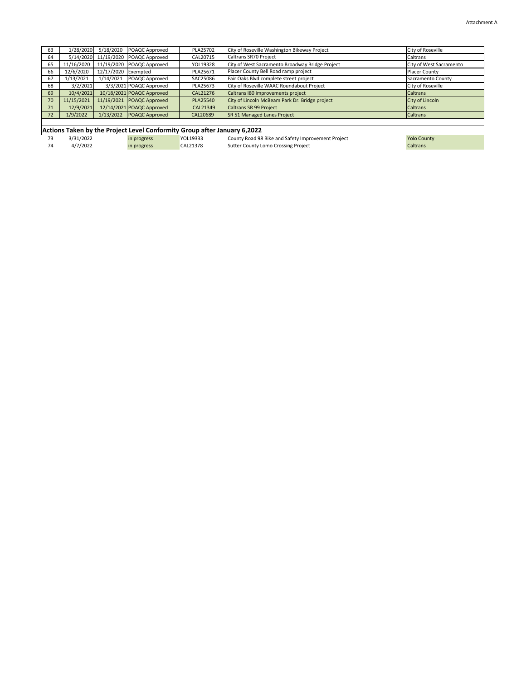| 63 | 1/28/2020  |                     | 5/18/2020 POAQC Approved  | PLA25702        | City of Roseville Washington Bikeway Project    | City of Roseville        |
|----|------------|---------------------|---------------------------|-----------------|-------------------------------------------------|--------------------------|
| 64 | 5/14/2020  |                     | 11/19/2020 POAQC Approved | CAL20715        | Caltrans SR70 Project                           | Caltrans                 |
| 65 | 11/16/2020 |                     | 11/19/2020 POAQC Approved | YOL19328        | City of West Sacramento Broadway Bridge Project | City of West Sacramento  |
| 66 | 12/6/2020  | 12/17/2020 Exempted |                           | PLA25671        | Placer County Bell Road ramp project            | <b>Placer County</b>     |
| 67 | 1/13/2021  | 1/14/2021           | POAQC Approved            | SAC25086        | Fair Oaks Blvd complete street project          | <b>Sacramento County</b> |
| 68 | 3/2/2021   |                     | 3/3/2021 POAQC Approved   | PLA25673        | City of Roseville WAAC Roundabout Project       | City of Roseville        |
| 69 | 10/4/2021  |                     | 10/18/2021 POAQC Approved | CAL21276        | Caltrans 180 improvements project               | <b>Caltrans</b>          |
| 70 | 11/15/2021 |                     | 11/19/2021 POAQC Approved | <b>PLA25540</b> | City of Lincoln McBeam Park Dr. Bridge project  | City of Lincoln          |
| 71 | 12/9/2021  |                     | 12/14/2021 POAQC Approved | CAL21349        | Caltrans SR 99 Project                          | <b>Caltrans</b>          |
| 72 | 1/9/2022   |                     | 1/13/2022 POAQC Approved  | CAL20689        | <b>SR 51 Managed Lanes Project</b>              | <b>Caltrans</b>          |
|    |            |                     |                           |                 |                                                 |                          |

# **Actions Taken by the Project Level Conformity Group after January 6,2022**<br>73 3/31/2022 **in progress** YOL19333 County Road 98

23 3/31/2022 in progress 1999 and the County Road 98 Bike and Safety Improvement Project 1997 and 1998 and Safety Improvement Project 1997 and 1998 and Safety Improvement Project 1997 and 1998 and 1997 and 1998 and 1998 an Sutter County Lomo Crossing Project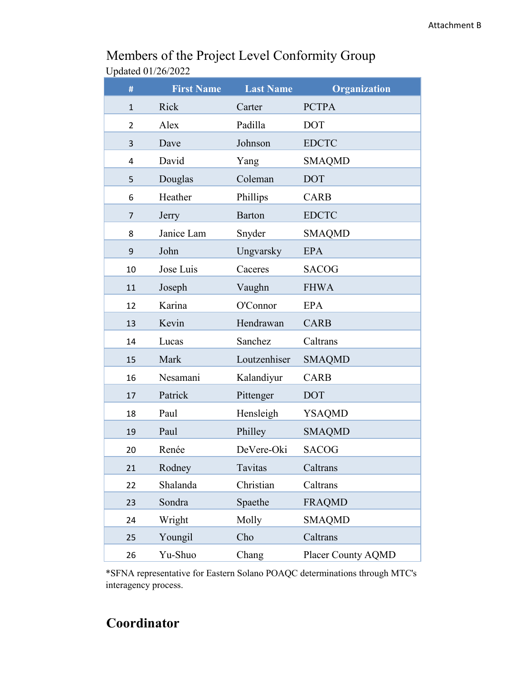| #            | <b>First Name</b> | <b>Last Name</b> | Organization       |
|--------------|-------------------|------------------|--------------------|
| $\mathbf{1}$ | Rick              | Carter           | <b>PCTPA</b>       |
| 2            | Alex              | Padilla          | <b>DOT</b>         |
| 3            | Dave              | Johnson          | <b>EDCTC</b>       |
| 4            | David             | Yang             | <b>SMAQMD</b>      |
| 5            | Douglas           | Coleman          | <b>DOT</b>         |
| 6            | Heather           | Phillips         | <b>CARB</b>        |
| 7            | Jerry             | <b>Barton</b>    | <b>EDCTC</b>       |
| 8            | Janice Lam        | Snyder           | <b>SMAQMD</b>      |
| 9            | John              | Ungvarsky        | <b>EPA</b>         |
| 10           | Jose Luis         | Caceres          | <b>SACOG</b>       |
| 11           | Joseph            | Vaughn           | <b>FHWA</b>        |
| 12           | Karina            | O'Connor         | <b>EPA</b>         |
| 13           | Kevin             | Hendrawan        | <b>CARB</b>        |
| 14           | Lucas             | Sanchez          | Caltrans           |
| 15           | Mark              | Loutzenhiser     | <b>SMAQMD</b>      |
| 16           | Nesamani          | Kalandiyur       | <b>CARB</b>        |
| 17           | Patrick           | Pittenger        | <b>DOT</b>         |
| 18           | Paul              | Hensleigh        | <b>YSAQMD</b>      |
| 19           | Paul              | Philley          | <b>SMAQMD</b>      |
| 20           | Renée             | DeVere-Oki       | <b>SACOG</b>       |
| 21           | Rodney            | Tavitas          | Caltrans           |
| 22           | Shalanda          | Christian        | Caltrans           |
| 23           | Sondra            | Spaethe          | <b>FRAQMD</b>      |
| 24           | Wright            | Molly            | <b>SMAQMD</b>      |
| 25           | Youngil           | Cho              | Caltrans           |
| 26           | Yu-Shuo           | Chang            | Placer County AQMD |

## Members of the Project Level Conformity Group Updated 01/26/2022

\*SFNA representative for Eastern Solano POAQC determinations through MTC's interagency process.

## **Coordinator**